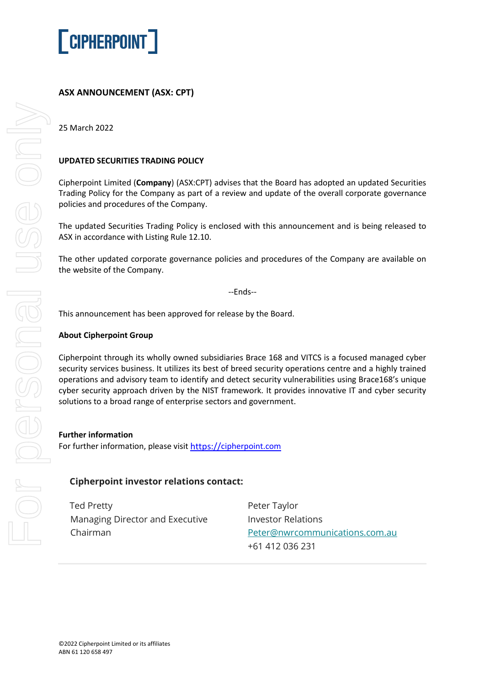

# **ASX ANNOUNCEMENT (ASX: CPT)**

25 March 2022

### **UPDATED SECURITIES TRADING POLICY**

Cipherpoint Limited (**Company**) (ASX:CPT) advises that the Board has adopted an updated Securities Trading Policy for the Company as part of a review and update of the overall corporate governance policies and procedures of the Company.

The updated Securities Trading Policy is enclosed with this announcement and is being released to ASX in accordance with Listing Rule 12.10.

The other updated corporate governance policies and procedures of the Company are available on the website of the Company.

--Ends--

This announcement has been approved for release by the Board.

#### **About Cipherpoint Group**

Cipherpoint through its wholly owned subsidiaries Brace 168 and VITCS is a focused managed cyber security services business. It utilizes its best of breed security operations centre and a highly trained operations and advisory team to identify and detect security vulnerabilities using Brace168's unique cyber security approach driven by the NIST framework. It provides innovative IT and cyber security solutions to a broad range of enterprise sectors and government.

#### **Further information**

For further information, please visit [https://](https://covata.com/)[cipherpoint.com](https://cipherpoint.com/)

## **Cipherpoint investor relations contact:**

Ted Pretty Managing Director and Executive Chairman

Peter Taylor Investor Relations [Peter@nwrcommunications.com.au](mailto:Peter@nwrcommunications.com.au) +61 412 036 231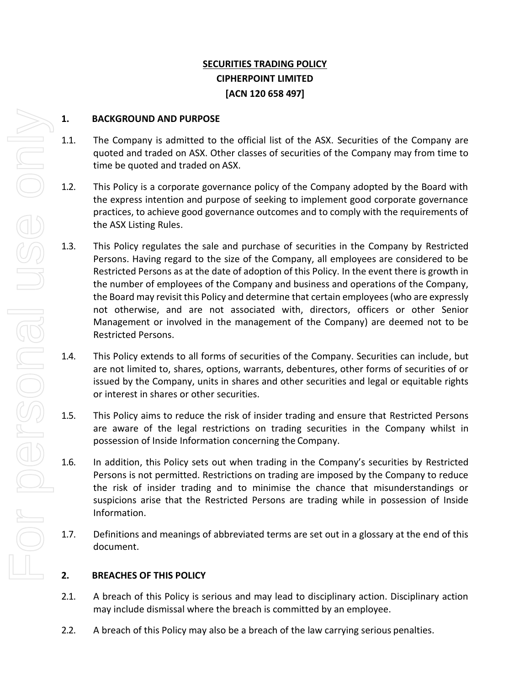# **SECURITIES TRADING POLICY CIPHERPOINT LIMITED [ACN 120 658 497]**

# **1. BACKGROUND AND PURPOSE**

- 1.1. The Company is admitted to the official list of the ASX. Securities of the Company are quoted and traded on ASX. Other classes of securities of the Company may from time to time be quoted and traded on ASX.
- 1.2. This Policy is a corporate governance policy of the Company adopted by the Board with the express intention and purpose of seeking to implement good corporate governance practices, to achieve good governance outcomes and to comply with the requirements of the ASX Listing Rules.
- 1.3. This Policy regulates the sale and purchase of securities in the Company by Restricted Persons. Having regard to the size of the Company, all employees are considered to be Restricted Persons as at the date of adoption of this Policy. In the event there is growth in the number of employees of the Company and business and operations of the Company, the Board may revisit this Policy and determine that certain employees(who are expressly not otherwise, and are not associated with, directors, officers or other Senior Management or involved in the management of the Company) are deemed not to be Restricted Persons.
- 1.4. This Policy extends to all forms of securities of the Company. Securities can include, but are not limited to, shares, options, warrants, debentures, other forms of securities of or issued by the Company, units in shares and other securities and legal or equitable rights or interest in shares or other securities.
- 1.5. This Policy aims to reduce the risk of insider trading and ensure that Restricted Persons are aware of the legal restrictions on trading securities in the Company whilst in possession of Inside Information concerning the Company.
- 1.6. In addition, this Policy sets out when trading in the Company's securities by Restricted Persons is not permitted. Restrictions on trading are imposed by the Company to reduce the risk of insider trading and to minimise the chance that misunderstandings or suspicions arise that the Restricted Persons are trading while in possession of Inside Information.
- 1.7. Definitions and meanings of abbreviated terms are set out in a glossary at the end of this document.

# **2. BREACHES OF THIS POLICY**

- 2.1. A breach of this Policy is serious and may lead to disciplinary action. Disciplinary action may include dismissal where the breach is committed by an employee.
- 2.2. A breach of this Policy may also be a breach of the law carrying serious penalties.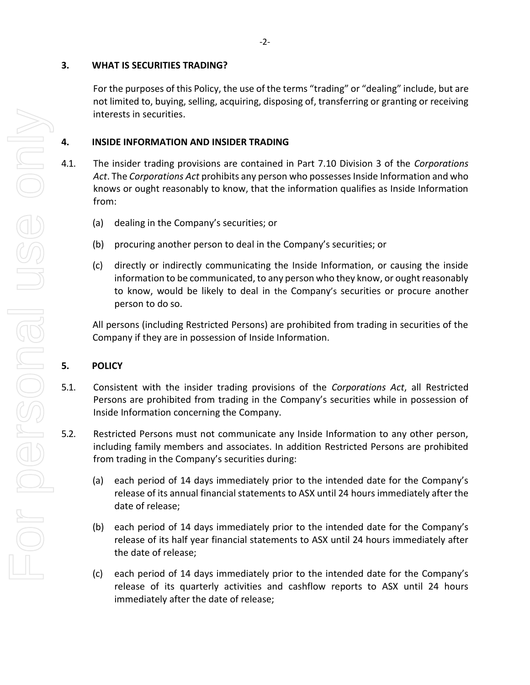### **3. WHAT IS SECURITIES TRADING?**

For the purposes of this Policy, the use of the terms "trading" or "dealing" include, but are not limited to, buying, selling, acquiring, disposing of, transferring or granting or receiving interests in securities.

## **4. INSIDE INFORMATION AND INSIDER TRADING**

- 4.1. The insider trading provisions are contained in Part 7.10 Division 3 of the *Corporations Act*. The *Corporations Act* prohibits any person who possesses Inside Information and who knows or ought reasonably to know, that the information qualifies as Inside Information from:
	- (a) dealing in the Company's securities; or
	- (b) procuring another person to deal in the Company's securities; or
	- (c) directly or indirectly communicating the Inside Information, or causing the inside information to be communicated, to any person who they know, or ought reasonably to know, would be likely to deal in the Company's securities or procure another person to do so.

All persons (including Restricted Persons) are prohibited from trading in securities of the Company if they are in possession of Inside Information.

# **5. POLICY**

- 5.1. Consistent with the insider trading provisions of the *Corporations Act*, all Restricted Persons are prohibited from trading in the Company's securities while in possession of Inside Information concerning the Company.
- 5.2. Restricted Persons must not communicate any Inside Information to any other person, including family members and associates. In addition Restricted Persons are prohibited from trading in the Company's securities during:
	- (a) each period of 14 days immediately prior to the intended date for the Company's release of its annual financial statements to ASX until 24 hours immediately after the date of release;
	- (b) each period of 14 days immediately prior to the intended date for the Company's release of its half year financial statements to ASX until 24 hours immediately after the date of release;
	- (c) each period of 14 days immediately prior to the intended date for the Company's release of its quarterly activities and cashflow reports to ASX until 24 hours immediately after the date of release;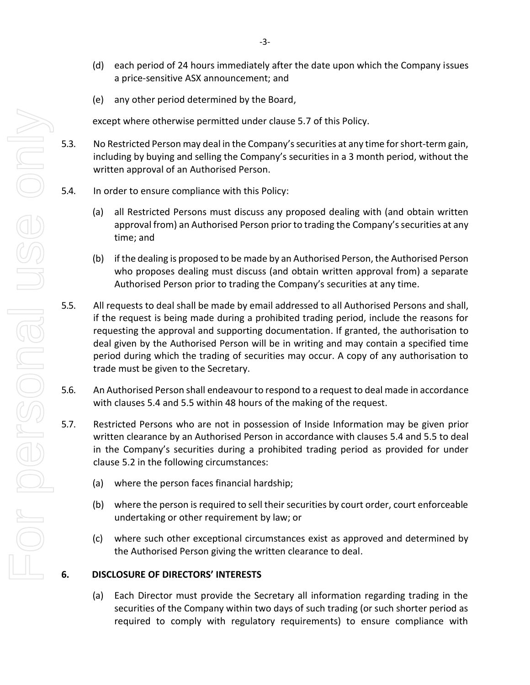- (d) each period of 24 hours immediately after the date upon which the Company issues a price‐sensitive ASX announcement; and
- (e) any other period determined by the Board,

except where otherwise permitted under clause 5.7 of this Policy.

- 5.3. No Restricted Person may deal in the Company's securities at any time for short‐term gain, including by buying and selling the Company's securities in a 3 month period, without the written approval of an Authorised Person.
- 5.4. In order to ensure compliance with this Policy:
	- (a) all Restricted Persons must discuss any proposed dealing with (and obtain written approval from) an Authorised Person prior to trading the Company's securities at any time; and
	- (b) if the dealing is proposed to be made by an Authorised Person, the Authorised Person who proposes dealing must discuss (and obtain written approval from) a separate Authorised Person prior to trading the Company's securities at any time.
- 5.5. All requests to deal shall be made by email addressed to all Authorised Persons and shall, if the request is being made during a prohibited trading period, include the reasons for requesting the approval and supporting documentation. If granted, the authorisation to deal given by the Authorised Person will be in writing and may contain a specified time period during which the trading of securities may occur. A copy of any authorisation to trade must be given to the Secretary.
- 5.6. An Authorised Person shall endeavour to respond to a request to deal made in accordance with clauses 5.4 and 5.5 within 48 hours of the making of the request.
- 5.7. Restricted Persons who are not in possession of Inside Information may be given prior written clearance by an Authorised Person in accordance with clauses 5.4 and 5.5 to deal in the Company's securities during a prohibited trading period as provided for under clause 5.2 in the following circumstances:
	- (a) where the person faces financial hardship;
	- (b) where the person is required to sell their securities by court order, court enforceable undertaking or other requirement by law; or
	- (c) where such other exceptional circumstances exist as approved and determined by the Authorised Person giving the written clearance to deal.

#### **6. DISCLOSURE OF DIRECTORS' INTERESTS**

(a) Each Director must provide the Secretary all information regarding trading in the securities of the Company within two days of such trading (or such shorter period as required to comply with regulatory requirements) to ensure compliance with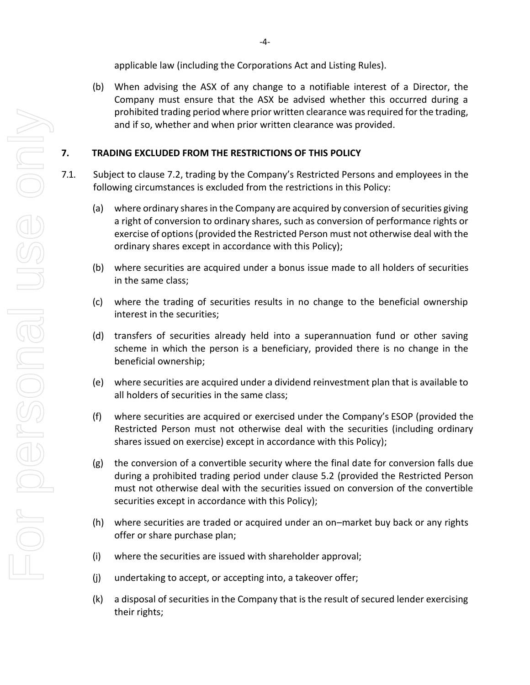applicable law (including the Corporations Act and Listing Rules).

(b) When advising the ASX of any change to a notifiable interest of a Director, the Company must ensure that the ASX be advised whether this occurred during a prohibited trading period where prior written clearance was required for the trading, and if so, whether and when prior written clearance was provided.

# **7. TRADING EXCLUDED FROM THE RESTRICTIONS OF THIS POLICY**

- <span id="page-4-0"></span>7.1. Subject to clause [7.2](#page-5-0), trading by the Company's Restricted Persons and employees in the following circumstances is excluded from the restrictions in this Policy:
	- (a) where ordinary shares in the Company are acquired by conversion of securities giving a right of conversion to ordinary shares, such as conversion of performance rights or exercise of options(provided the Restricted Person must not otherwise deal with the ordinary shares except in accordance with this Policy);
	- (b) where securities are acquired under a bonus issue made to all holders of securities in the same class;
	- (c) where the trading of securities results in no change to the beneficial ownership interest in the securities;
	- (d) transfers of securities already held into a superannuation fund or other saving scheme in which the person is a beneficiary, provided there is no change in the beneficial ownership;
	- (e) where securities are acquired under a dividend reinvestment plan that is available to all holders of securities in the same class;
	- (f) where securities are acquired or exercised under the Company's ESOP (provided the Restricted Person must not otherwise deal with the securities (including ordinary shares issued on exercise) except in accordance with this Policy);
	- (g) the conversion of a convertible security where the final date for conversion falls due during a prohibited trading period under clause 5.2 (provided the Restricted Person must not otherwise deal with the securities issued on conversion of the convertible securities except in accordance with this Policy);
	- (h) where securities are traded or acquired under an on–market buy back or any rights offer or share purchase plan;
	- (i) where the securities are issued with shareholder approval;
	- (j) undertaking to accept, or accepting into, a takeover offer;
	- (k) a disposal of securities in the Company that is the result of secured lender exercising their rights;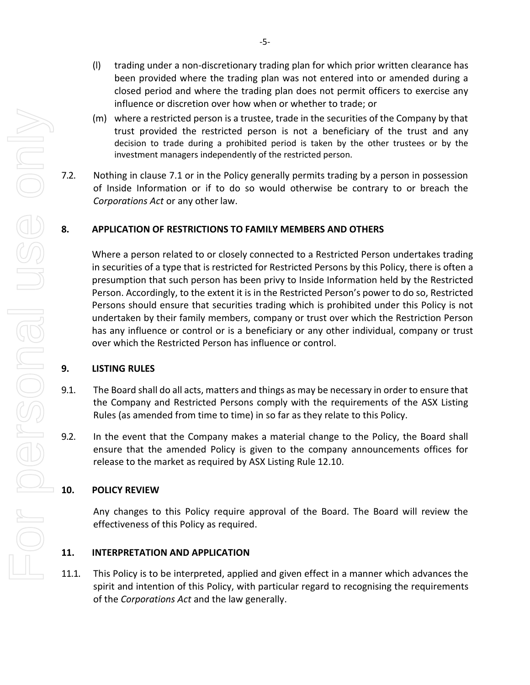- (l) trading under a non-discretionary trading plan for which prior written clearance has been provided where the trading plan was not entered into or amended during a closed period and where the trading plan does not permit officers to exercise any influence or discretion over how when or whether to trade; or
- (m) where a restricted person is a trustee, trade in the securities of the Company by that trust provided the restricted person is not a beneficiary of the trust and any decision to trade during a prohibited period is taken by the other trustees or by the investment managers independently of the restricted person.
- <span id="page-5-0"></span>7.2. Nothing in clause 7.1 [or in the Policy generally](#page-4-0) permits trading by a person in possession of Inside Information or if to do so would otherwise be contrary to or breach the *Corporations Act* or any other law.

# **8. APPLICATION OF RESTRICTIONS TO FAMILY MEMBERS AND OTHERS**

Where a person related to or closely connected to a Restricted Person undertakes trading in securities of a type that is restricted for Restricted Persons by this Policy, there is often a presumption that such person has been privy to Inside Information held by the Restricted Person. Accordingly, to the extent it is in the Restricted Person's power to do so, Restricted Persons should ensure that securities trading which is prohibited under this Policy is not undertaken by their family members, company or trust over which the Restriction Person has any influence or control or is a beneficiary or any other individual, company or trust over which the Restricted Person has influence or control.

## **9. LISTING RULES**

- 9.1. The Board shall do all acts, matters and things as may be necessary in order to ensure that the Company and Restricted Persons comply with the requirements of the ASX Listing Rules (as amended from time to time) in so far as they relate to this Policy.
- 9.2. In the event that the Company makes a material change to the Policy, the Board shall ensure that the amended Policy is given to the company announcements offices for release to the market as required by ASX Listing Rule 12.10.

## **10. POLICY REVIEW**

Any changes to this Policy require approval of the Board. The Board will review the effectiveness of this Policy as required.

## **11. INTERPRETATION AND APPLICATION**

11.1. This Policy is to be interpreted, applied and given effect in a manner which advances the spirit and intention of this Policy, with particular regard to recognising the requirements of the *Corporations Act* and the law generally.